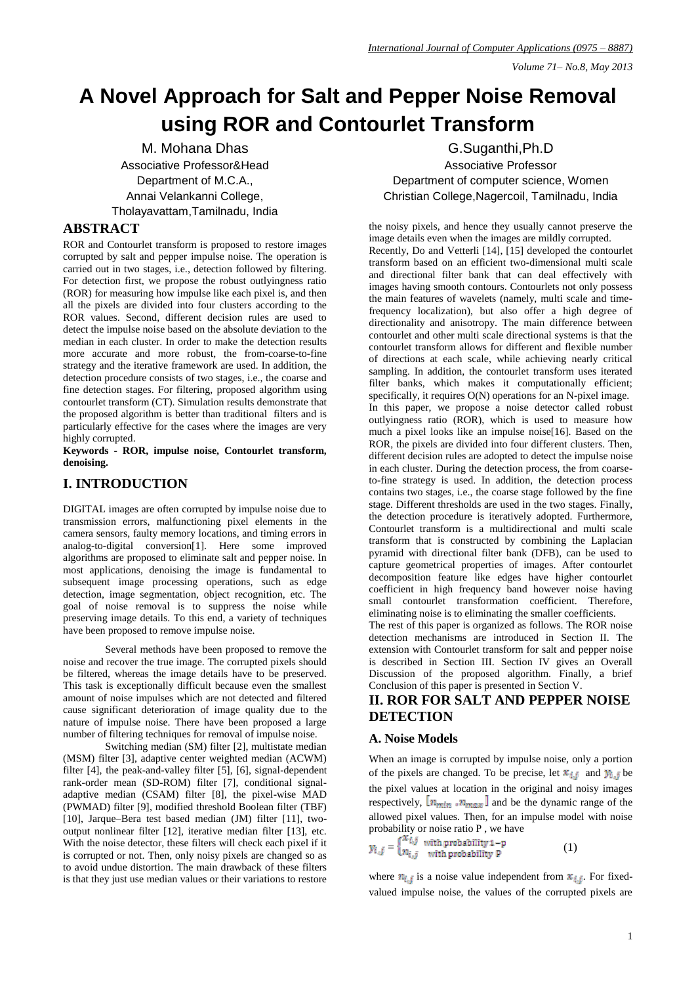# **A Novel Approach for Salt and Pepper Noise Removal using ROR and Contourlet Transform**

M. Mohana Dhas Associative Professor&Head Department of M.C.A., Annai Velankanni College, Tholayavattam,Tamilnadu, India

## **ABSTRACT**

ROR and Contourlet transform is proposed to restore images corrupted by salt and pepper impulse noise. The operation is carried out in two stages, i.e., detection followed by filtering. For detection first, we propose the robust outlyingness ratio (ROR) for measuring how impulse like each pixel is, and then all the pixels are divided into four clusters according to the ROR values. Second, different decision rules are used to detect the impulse noise based on the absolute deviation to the median in each cluster. In order to make the detection results more accurate and more robust, the from-coarse-to-fine strategy and the iterative framework are used. In addition, the detection procedure consists of two stages, i.e., the coarse and fine detection stages. For filtering, proposed algorithm using contourlet transform (CT). Simulation results demonstrate that the proposed algorithm is better than traditional filters and is particularly effective for the cases where the images are very highly corrupted.

**Keywords - ROR, impulse noise, Contourlet transform, denoising.**

# **I. INTRODUCTION**

DIGITAL images are often corrupted by impulse noise due to transmission errors, malfunctioning pixel elements in the camera sensors, faulty memory locations, and timing errors in analog-to-digital conversion[1]. Here some improved algorithms are proposed to eliminate salt and pepper noise. In most applications, denoising the image is fundamental to subsequent image processing operations, such as edge detection, image segmentation, object recognition, etc. The goal of noise removal is to suppress the noise while preserving image details. To this end, a variety of techniques have been proposed to remove impulse noise.

Several methods have been proposed to remove the noise and recover the true image. The corrupted pixels should be filtered, whereas the image details have to be preserved. This task is exceptionally difficult because even the smallest amount of noise impulses which are not detected and filtered cause significant deterioration of image quality due to the nature of impulse noise. There have been proposed a large number of filtering techniques for removal of impulse noise.

Switching median (SM) filter [2], multistate median (MSM) filter [3], adaptive center weighted median (ACWM) filter [4], the peak-and-valley filter [5], [6], signal-dependent rank-order mean (SD-ROM) filter [7], conditional signaladaptive median (CSAM) filter [8], the pixel-wise MAD (PWMAD) filter [9], modified threshold Boolean filter (TBF) [10], Jarque–Bera test based median (JM) filter [11], twooutput nonlinear filter [12], iterative median filter [13], etc. With the noise detector, these filters will check each pixel if it is corrupted or not. Then, only noisy pixels are changed so as to avoid undue distortion. The main drawback of these filters is that they just use median values or their variations to restore

G.Suganthi,Ph.D Associative Professor Department of computer science, Women Christian College,Nagercoil, Tamilnadu, India

the noisy pixels, and hence they usually cannot preserve the image details even when the images are mildly corrupted. Recently, Do and Vetterli [14], [15] developed the contourlet transform based on an efficient two-dimensional multi scale and directional filter bank that can deal effectively with images having smooth contours. Contourlets not only possess the main features of wavelets (namely, multi scale and timefrequency localization), but also offer a high degree of directionality and anisotropy. The main difference between contourlet and other multi scale directional systems is that the contourlet transform allows for different and flexible number of directions at each scale, while achieving nearly critical sampling. In addition, the contourlet transform uses iterated filter banks, which makes it computationally efficient; specifically, it requires  $O(N)$  operations for an N-pixel image. In this paper, we propose a noise detector called robust outlyingness ratio (ROR), which is used to measure how much a pixel looks like an impulse noise[16]. Based on the ROR, the pixels are divided into four different clusters. Then, different decision rules are adopted to detect the impulse noise in each cluster. During the detection process, the from coarseto-fine strategy is used. In addition, the detection process contains two stages, i.e., the coarse stage followed by the fine stage. Different thresholds are used in the two stages. Finally, the detection procedure is iteratively adopted. Furthermore, Contourlet transform is a multidirectional and multi scale transform that is constructed by combining the Laplacian pyramid with directional filter bank (DFB), can be used to capture geometrical properties of images. After contourlet decomposition feature like edges have higher contourlet coefficient in high frequency band however noise having small contourlet transformation coefficient. Therefore, eliminating noise is to eliminating the smaller coefficients.

The rest of this paper is organized as follows. The ROR noise detection mechanisms are introduced in Section II. The extension with Contourlet transform for salt and pepper noise is described in Section III. Section IV gives an Overall Discussion of the proposed algorithm. Finally, a brief Conclusion of this paper is presented in Section V.

# **II. ROR FOR SALT AND PEPPER NOISE DETECTION**

## **A. Noise Models**

When an image is corrupted by impulse noise, only a portion of the pixels are changed. To be precise, let  $x_{i,j}$  and  $y_{i,j}$  be the pixel values at location in the original and noisy images respectively,  $[n_{min}, n_{max}]$  and be the dynamic range of the allowed pixel values. Then, for an impulse model with noise probability or noise ratio P , we have

$$
y_{i,j} = \begin{cases} x_{i,j} & \text{with probability } 1-p \\ n_{i,j} & \text{with probability } P \end{cases}
$$
 (1)

where  $n_{i,j}$  is a noise value independent from  $x_{i,j}$ . For fixedvalued impulse noise, the values of the corrupted pixels are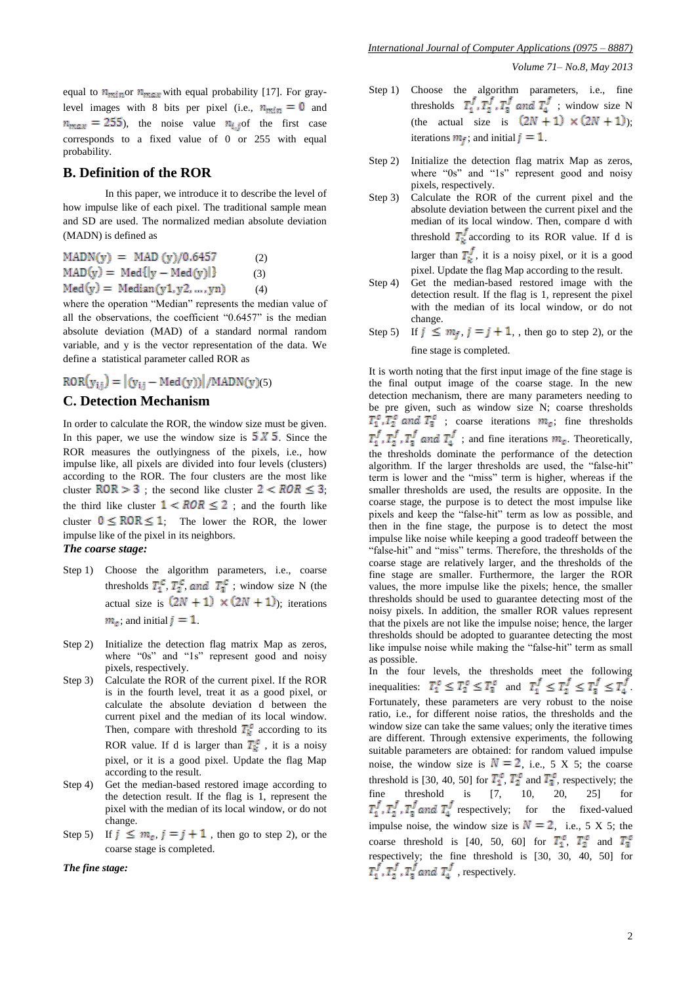equal to  $n_{min}$  or  $n_{max}$  with equal probability [17]. For graylevel images with 8 bits per pixel (i.e.,  $n_{min} = 0$  and  $n_{max}$  = 255), the noise value  $n_{i,j}$  of the first case corresponds to a fixed value of 0 or 255 with equal probability.

## **B. Definition of the ROR**

In this paper, we introduce it to describe the level of how impulse like of each pixel. The traditional sample mean and SD are used. The normalized median absolute deviation (MADN) is defined as

$$
MADN(y) = MAD (y)/0.6457 (2)
$$
\n
$$
MAD(y) = Med{y - Med(y)}{3}
$$
\n
$$
Med(y) = Median(y1, y2, ..., yn)
$$
\n(4)

where the operation "Median" represents the median value of all the observations, the coefficient "0.6457" is the median absolute deviation (MAD) of a standard normal random variable, and y is the vector representation of the data. We define a statistical parameter called ROR as

$$
ROR(y_{ij}) = |(y_{ij} - Med(y))| / MADN(y)(5)
$$

### **C. Detection Mechanism**

In order to calculate the ROR, the window size must be given. In this paper, we use the window size is  $5 \times 5$ . Since the ROR measures the outlyingness of the pixels, i.e., how impulse like, all pixels are divided into four levels (clusters) according to the ROR. The four clusters are the most like cluster  $\text{ROR} > 3$ ; the second like cluster  $2 < \text{ROR} \leq 3$ ; the third like cluster  $1 < ROR \le 2$ ; and the fourth like cluster  $0 \leq ROR \leq 1$ ; The lower the ROR, the lower impulse like of the pixel in its neighbors.

## *The coarse stage:*

- Step 1) Choose the algorithm parameters, i.e., coarse thresholds  $T_1^C$ ,  $T_2^C$ , and  $T_3^C$ ; window size N (the actual size is  $(2N + 1) \times (2N + 1)$ ; iterations  $m_c$ , and initial  $j = 1$ .
- Step 2) Initialize the detection flag matrix Map as zeros, where "0s" and "1s" represent good and noisy pixels, respectively.
- Step 3) Calculate the ROR of the current pixel. If the ROR is in the fourth level, treat it as a good pixel, or calculate the absolute deviation d between the current pixel and the median of its local window. Then, compare with threshold  $T_k^c$  according to its ROR value. If d is larger than  $T_k^c$ , it is a noisy pixel, or it is a good pixel. Update the flag Map according to the result.
- Step 4) Get the median-based restored image according to the detection result. If the flag is 1, represent the pixel with the median of its local window, or do not change.
- Step 5) If  $j \le m_c$ ,  $j = j + 1$ , then go to step 2), or the coarse stage is completed.

#### *The fine stage:*

Step 1) Choose the algorithm parameters, i.e., fine thresholds  $T_1^f, T_2^f, T_3^f$  and  $T_4^f$  ; window size N (the actual size is  $(2N + 1) \times (2N + 1)$ ); iterations  $m_f$ ; and initial  $j = 1$ .

- Step 2) Initialize the detection flag matrix Map as zeros, where "0s" and "1s" represent good and noisy pixels, respectively.
- Step 3) Calculate the ROR of the current pixel and the absolute deviation between the current pixel and the median of its local window. Then, compare d with threshold  $T_k^J$  according to its ROR value. If d is larger than  $T_k^f$ , it is a noisy pixel, or it is a good pixel. Update the flag Map according to the result.
- Step 4) Get the median-based restored image with the detection result. If the flag is 1, represent the pixel with the median of its local window, or do not change.
- Step 5) If  $j \le m_f$ ,  $j = j + 1$ , then go to step 2), or the fine stage is completed.

It is worth noting that the first input image of the fine stage is the final output image of the coarse stage. In the new detection mechanism, there are many parameters needing to be pre given, such as window size N; coarse thresholds ; coarse iterations  $m_c$ ; fine thresholds ; and fine iterations  $m_c$ . Theoretically, the thresholds dominate the performance of the detection algorithm. If the larger thresholds are used, the "false-hit" term is lower and the "miss" term is higher, whereas if the smaller thresholds are used, the results are opposite. In the coarse stage, the purpose is to detect the most impulse like pixels and keep the "false-hit" term as low as possible, and then in the fine stage, the purpose is to detect the most impulse like noise while keeping a good tradeoff between the "false-hit" and "miss" terms. Therefore, the thresholds of the coarse stage are relatively larger, and the thresholds of the fine stage are smaller. Furthermore, the larger the ROR values, the more impulse like the pixels; hence, the smaller thresholds should be used to guarantee detecting most of the noisy pixels. In addition, the smaller ROR values represent that the pixels are not like the impulse noise; hence, the larger thresholds should be adopted to guarantee detecting the most like impulse noise while making the "false-hit" term as small as possible.

In the four levels, the thresholds meet the following inequalities:  $T_1^c \leq T_2^c \leq T_3^c$  and  $T_1^j \leq T_2^j \leq T_3^j \leq T_4^j$ . Fortunately, these parameters are very robust to the noise ratio, i.e., for different noise ratios, the thresholds and the window size can take the same values; only the iterative times are different. Through extensive experiments, the following suitable parameters are obtained: for random valued impulse noise, the window size is  $N = 2$ , i.e., 5 X 5; the coarse threshold is [30, 40, 50] for  $T_1^c$ ,  $T_2^c$  and  $T_3^c$ , respectively; the fine threshold is [7, 10, 20, 25] for  $T_1^f$ ,  $T_2^f$ ,  $T_3^f$  and  $T_4^f$  respectively; for the fixed-valued impulse noise, the window size is  $N = 2$ , i.e., 5 X 5; the coarse threshold is [40, 50, 60] for  $T_1^c$ ,  $T_2^c$  and  $T_3^c$ respectively; the fine threshold is [30, 30, 40, 50] for , respectively.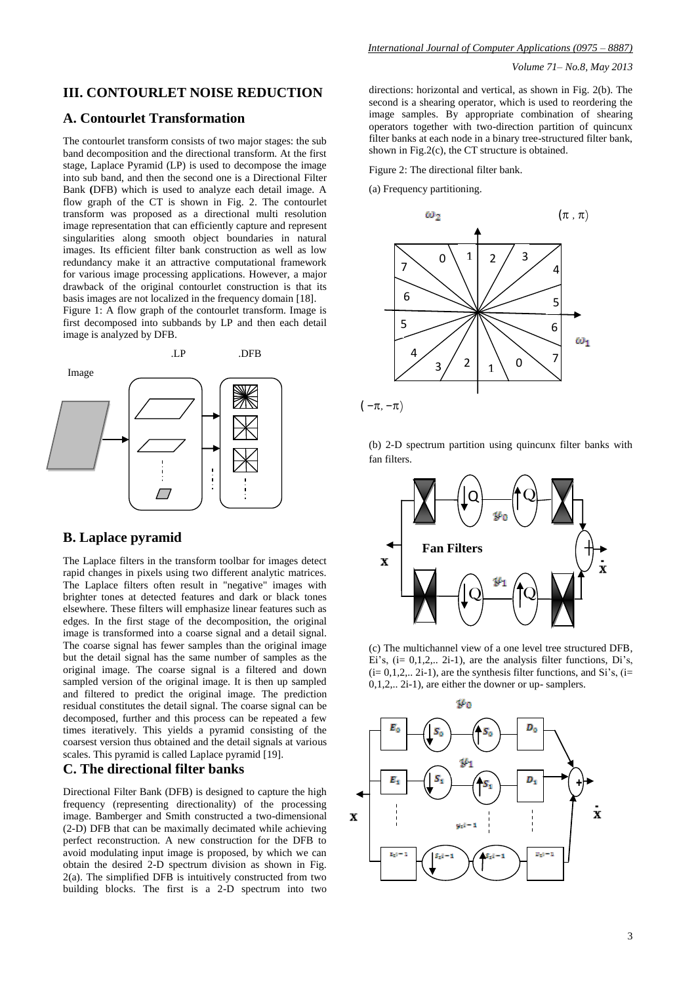# **III. CONTOURLET NOISE REDUCTION**

## **A. Contourlet Transformation**

The contourlet transform consists of two major stages: the sub band decomposition and the directional transform. At the first stage, Laplace Pyramid (LP) is used to decompose the image into sub band, and then the second one is a Directional Filter Bank **(**DFB) which is used to analyze each detail image. A flow graph of the CT is shown in Fig. 2. The contourlet transform was proposed as a directional multi resolution image representation that can efficiently capture and represent singularities along smooth object boundaries in natural images. Its efficient filter bank construction as well as low redundancy make it an attractive computational framework for various image processing applications. However, a major drawback of the original contourlet construction is that its basis images are not localized in the frequency domain [18].

Figure 1: A flow graph of the contourlet transform. Image is first decomposed into subbands by LP and then each detail image is analyzed by DFB.



## **B. Laplace pyramid**

The Laplace filters in the transform toolbar for images detect rapid changes in pixels using two different analytic matrices. The Laplace filters often result in "negative" images with brighter tones at detected features and dark or black tones elsewhere. These filters will emphasize linear features such as edges. In the first stage of the decomposition, the original image is transformed into a coarse signal and a detail signal. The coarse signal has fewer samples than the original image but the detail signal has the same number of samples as the original image. The coarse signal is a filtered and down sampled version of the original image. It is then up sampled and filtered to predict the original image. The prediction residual constitutes the detail signal. The coarse signal can be decomposed, further and this process can be repeated a few times iteratively. This yields a pyramid consisting of the coarsest version thus obtained and the detail signals at various scales. This pyramid is called Laplace pyramid [19].

# **C. The directional filter banks**

Directional Filter Bank (DFB) is designed to capture the high frequency (representing directionality) of the processing image. Bamberger and Smith constructed a two-dimensional (2-D) DFB that can be maximally decimated while achieving perfect reconstruction. A new construction for the DFB to avoid modulating input image is proposed, by which we can obtain the desired 2-D spectrum division as shown in Fig.  $2(a)$ . The simplified DFB is intuitively constructed from two building blocks. The first is a 2-D spectrum into two

directions: horizontal and vertical, as shown in Fig. 2(b). The second is a shearing operator, which is used to reordering the image samples. By appropriate combination of shearing operators together with two-direction partition of quincunx filter banks at each node in a binary tree-structured filter bank, shown in Fig.2(c), the CT structure is obtained.

Figure 2: The directional filter bank.

(a) Frequency partitioning.



(b) 2-D spectrum partition using quincunx filter banks with fan filters.



(c) The multichannel view of a one level tree structured DFB, Ei's,  $(i= 0.1.2... 2i-1)$ , are the analysis filter functions, Di's,  $(i= 0,1,2,... 2i-1)$ , are the synthesis filter functions, and Si's,  $(i=$ 0,1,2,.. 2i-1), are either the downer or up- samplers.

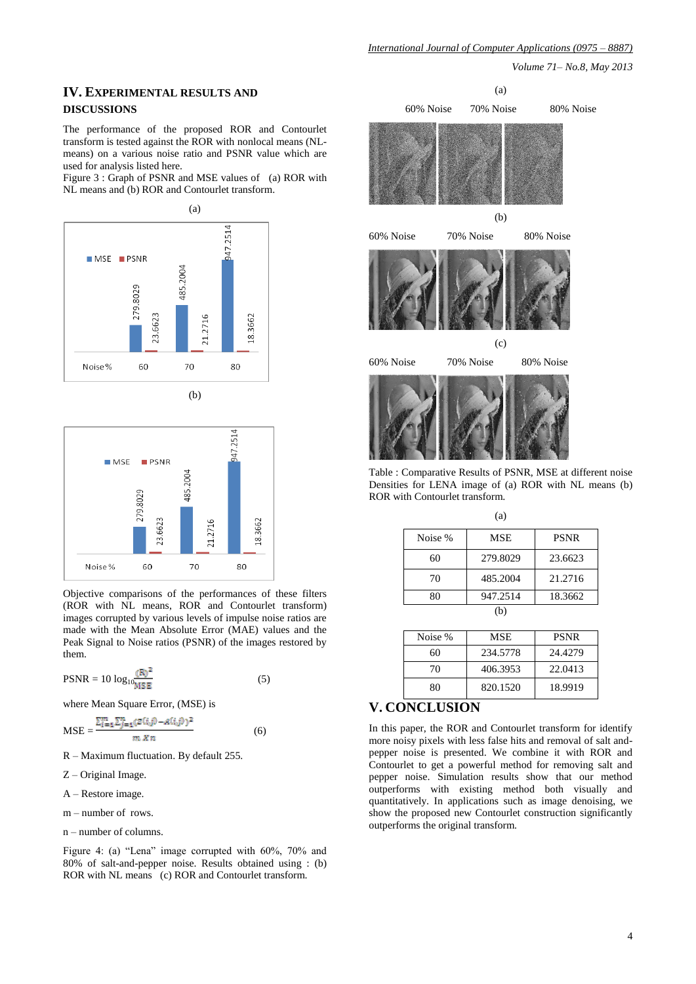## **IV. EXPERIMENTAL RESULTS AND DISCUSSIONS**

The performance of the proposed ROR and Contourlet transform is tested against the ROR with nonlocal means (NLmeans) on a various noise ratio and PSNR value which are used for analysis listed here.

Figure 3 : Graph of PSNR and MSE values of (a) ROR with NL means and (b) ROR and Contourlet transform.





Objective comparisons of the performances of these filters (ROR with NL means, ROR and Contourlet transform) images corrupted by various levels of impulse noise ratios are made with the Mean Absolute Error (MAE) values and the Peak Signal to Noise ratios (PSNR) of the images restored by them.

$$
PSNR = 10 \log_{10} \frac{(R)^2}{MSE}
$$
 (5)

where Mean Square Error, (MSE) is

$$
MSE = \frac{\sum_{i=1}^{m} \sum_{j=1}^{n} (z(i,j) - A(i,j))^2}{m \; x \; n}
$$
 (6)

R – Maximum fluctuation. By default 255.

- Z Original Image.
- A Restore image.
- m number of rows.
- n number of columns.

Figure 4: (a) "Lena" image corrupted with 60%, 70% and 80% of salt-and-pepper noise. Results obtained using : (b) ROR with NL means (c) ROR and Contourlet transform.





Table : Comparative Results of PSNR, MSE at different noise Densities for LENA image of (a) ROR with NL means (b) ROR with Contourlet transform.

 $(a)$ 

|         | $\cdots$   |             |
|---------|------------|-------------|
| Noise % | <b>MSE</b> | <b>PSNR</b> |
| 60      | 279.8029   | 23.6623     |
| 70      | 485.2004   | 21.2716     |
| 80      | 947.2514   | 18.3662     |
|         |            |             |

| Noise % | <b>MSE</b> | <b>PSNR</b> |
|---------|------------|-------------|
| 60      | 234.5778   | 24.4279     |
| 70      | 406.3953   | 22.0413     |
| 80      | 820.1520   | 18.9919     |

# **V. CONCLUSION**

In this paper, the ROR and Contourlet transform for identify more noisy pixels with less false hits and removal of salt andpepper noise is presented. We combine it with ROR and Contourlet to get a powerful method for removing salt and pepper noise. Simulation results show that our method outperforms with existing method both visually and quantitatively. In applications such as image denoising, we show the proposed new Contourlet construction significantly outperforms the original transform.